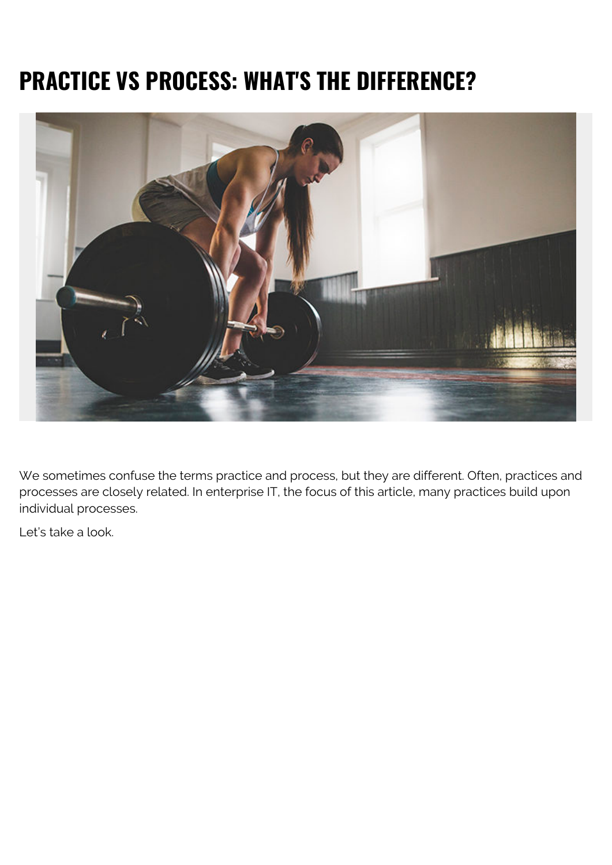# **PRACTICE VS PROCESS: WHAT'S THE DIFFERENCE?**



We sometimes confuse the terms practice and process, but they are different. Often, practices and processes are closely related. In enterprise IT, the focus of this article, many practices build upon individual processes.

Let's take a look.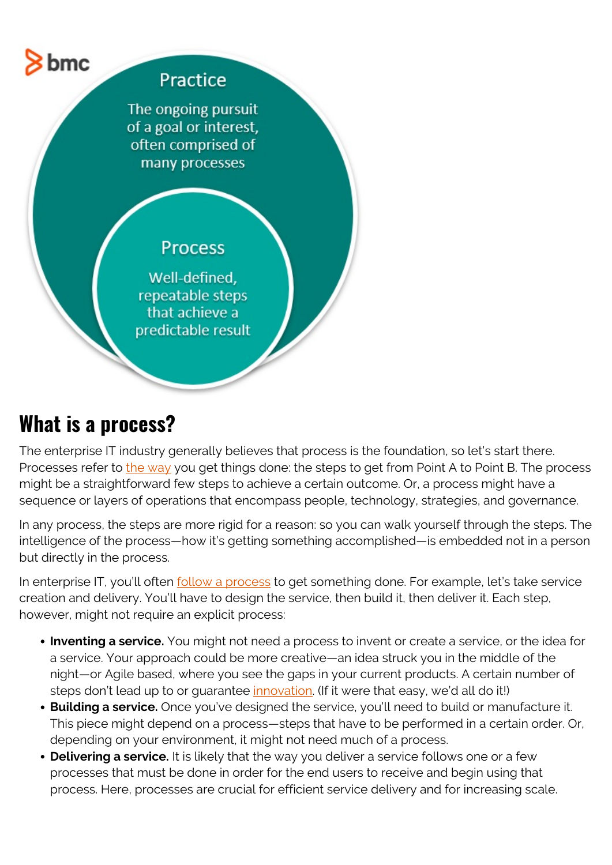

### **What is a process?**

The enterprise IT industry generally believes that process is the foundation, so let's start there. Processes refer to [the way](https://docs.microsoft.com/en-gb/archive/blogs/itbizval/practices-vs-processes) you get things done: the steps to get from Point A to Point B. The process might be a straightforward few steps to achieve a certain outcome. Or, a process might have a sequence or layers of operations that encompass people, technology, strategies, and governance.

In any process, the steps are more rigid for a reason: so you can walk yourself through the steps. The intelligence of the process—how it's getting something accomplished—is embedded not in a person but directly in the process.

In enterprise IT, you'll often **follow a process** to get something done. For example, let's take service creation and delivery. You'll have to design the service, then build it, then deliver it. Each step, however, might not require an explicit process:

- **Inventing a service.** You might not need a process to invent or create a service, or the idea for a service. Your approach could be more creative—an idea struck you in the middle of the night—or Agile based, where you see the gaps in your current products. A certain number of steps don't lead up to or guarantee [innovation.](https://blogs.bmc.com/blogs/innovation-lab/) (If it were that easy, we'd all do it!)
- **Building a service.** Once you've designed the service, you'll need to build or manufacture it. This piece might depend on a process—steps that have to be performed in a certain order. Or, depending on your environment, it might not need much of a process.
- **Delivering a service.** It is likely that the way you deliver a service follows one or a few processes that must be done in order for the end users to receive and begin using that process. Here, processes are crucial for efficient service delivery and for increasing scale.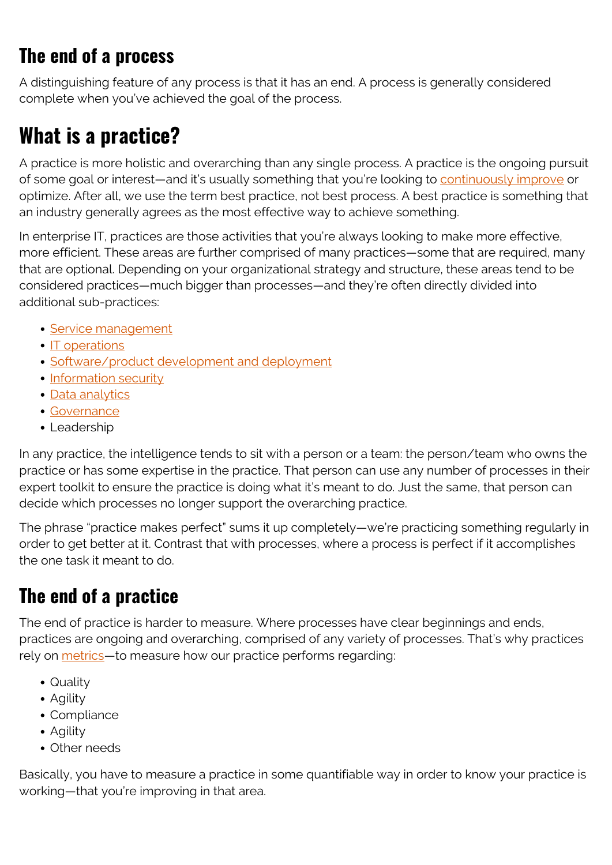### **The end of a process**

A distinguishing feature of any process is that it has an end. A process is generally considered complete when you've achieved the goal of the process.

## **What is a practice?**

A practice is more holistic and overarching than any single process. A practice is the ongoing pursuit of some goal or interest—and it's usually something that you're looking to [continuously improve](https://blogs.bmc.com/blogs/itil-continual-improvement/) or optimize. After all, we use the term best practice, not best process. A best practice is something that an industry generally agrees as the most effective way to achieve something.

In enterprise IT, practices are those activities that you're always looking to make more effective, more efficient. These areas are further comprised of many practices—some that are required, many that are optional. Depending on your organizational strategy and structure, these areas tend to be considered practices—much bigger than processes—and they're often directly divided into additional sub-practices:

- [Service management](https://blogs.bmc.com/blogs/categories/itsm/)
- **IT** operations
- [Software/product development and deployment](https://blogs.bmc.com/blogs/categories/devops/)
- [Information security](https://blogs.bmc.com/blogs/categories/secops-security-compliance/)
- [Data analytics](https://blogs.bmc.com/blogs/categories/machine-learning-big-data/)
- [Governance](https://blogs.bmc.com/blogs/governance-vs-management/)
- Leadership

In any practice, the intelligence tends to sit with a person or a team: the person/team who owns the practice or has some expertise in the practice. That person can use any number of processes in their expert toolkit to ensure the practice is doing what it's meant to do. Just the same, that person can decide which processes no longer support the overarching practice.

The phrase "practice makes perfect" sums it up completely—we're practicing something regularly in order to get better at it. Contrast that with processes, where a process is perfect if it accomplishes the one task it meant to do.

### **The end of a practice**

The end of practice is harder to measure. Where processes have clear beginnings and ends, practices are ongoing and overarching, comprised of any variety of processes. That's why practices rely on [metrics](https://blogs.bmc.com/blogs/it-organization-metrics/)—to measure how our practice performs regarding:

- Quality
- Agility
- Compliance
- Agility
- Other needs

Basically, you have to measure a practice in some quantifiable way in order to know your practice is working—that you're improving in that area.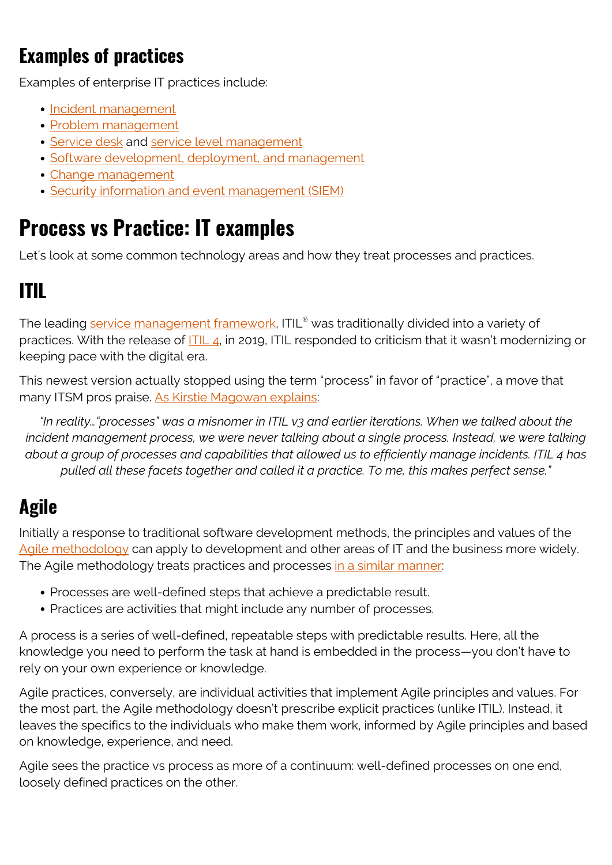#### **Examples of practices**

Examples of enterprise IT practices include:

- [Incident management](https://blogs.bmc.com/blogs/incident-management/)
- [Problem management](https://blogs.bmc.com/blogs/reactive-vs-proactive-problem-management/)
- **[Service desk](https://blogs.bmc.com/blogs/help-desk-vs-service-desk-whats-difference/) and [service level management](https://blogs.bmc.com/blogs/itil-service-level-management/)**
- [Software development, deployment, and management](https://blogs.bmc.com/blogs/sdlc-software-development-lifecycle/)
- [Change management](https://blogs.bmc.com/blogs/types-levels-change-management/)
- **[Security information and event management \(SIEM\)](https://blogs.bmc.com/blogs/siem-security-information-event-management/)**

### **Process vs Practice: IT examples**

Let's look at some common technology areas and how they treat processes and practices.

## **ITIL**

The leading <u>[service management framework](https://blogs.bmc.com/blogs/itsm-frameworks-popular/)</u>, ITIL® was traditionally divided into a variety of practices. With the release of **[ITIL 4](https://blogs.bmc.com/blogs/itil-4/)**, in 2019, ITIL responded to criticism that it wasn't modernizing or keeping pace with the digital era.

This newest version actually stopped using the term "process" in favor of "practice", a move that many ITSM pros praise. [As Kirstie Magowan explains:](https://blogs.bmc.com/blogs/itil-4-vs-itil-v3/#c)

*"In reality…"processes" was a misnomer in ITIL v3 and earlier iterations. When we talked about the incident management process, we were never talking about a single process. Instead, we were talking about a group of processes and capabilities that allowed us to efficiently manage incidents. ITIL 4 has pulled all these facets together and called it a practice. To me, this makes perfect sense."*

## **Agile**

Initially a response to traditional software development methods, the principles and values of the [Agile methodology](https://blogs.bmc.com/blogs/agile-vs-waterfall/) can apply to development and other areas of IT and the business more widely. The Agile methodology treats practices and processes [in a similar manner:](http://futureofcio.blogspot.com/2015/04/agile-process-vs-practice.html)

- Processes are well-defined steps that achieve a predictable result.
- Practices are activities that might include any number of processes.

A process is a series of well-defined, repeatable steps with predictable results. Here, all the knowledge you need to perform the task at hand is embedded in the process—you don't have to rely on your own experience or knowledge.

Agile practices, conversely, are individual activities that implement Agile principles and values. For the most part, the Agile methodology doesn't prescribe explicit practices (unlike ITIL). Instead, it leaves the specifics to the individuals who make them work, informed by Agile principles and based on knowledge, experience, and need.

Agile sees the practice vs process as more of a continuum: well-defined processes on one end, loosely defined practices on the other.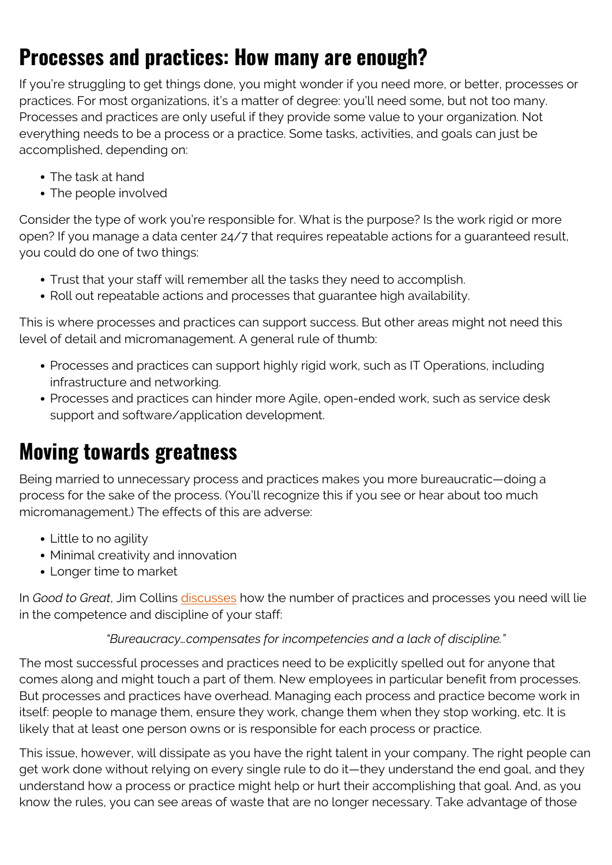## **Processes and practices: How many are enough?**

If you're struggling to get things done, you might wonder if you need more, or better, processes or practices. For most organizations, it's a matter of degree: you'll need some, but not too many. Processes and practices are only useful if they provide some value to your organization. Not everything needs to be a process or a practice. Some tasks, activities, and goals can just be accomplished, depending on:

- The task at hand
- The people involved

Consider the type of work you're responsible for. What is the purpose? Is the work rigid or more open? If you manage a data center 24/7 that requires repeatable actions for a guaranteed result, you could do one of two things:

- Trust that your staff will remember all the tasks they need to accomplish.
- Roll out repeatable actions and processes that guarantee high availability.

This is where processes and practices can support success. But other areas might not need this level of detail and micromanagement. A general rule of thumb:

- Processes and practices can support highly rigid work, such as IT Operations, including infrastructure and networking.
- Processes and practices can hinder more Agile, open-ended work, such as service desk support and software/application development.

### **Moving towards greatness**

Being married to unnecessary process and practices makes you more bureaucratic—doing a process for the sake of the process. (You'll recognize this if you see or hear about too much micromanagement.) The effects of this are adverse:

- Little to no agility
- Minimal creativity and innovation
- Longer time to market

In *Good to Great*, Jim Collins [discusses](http://acronymrequired.com/2004/08/process-vs-prac.html) how the number of practices and processes you need will lie in the competence and discipline of your staff:

*"Bureaucracy…compensates for incompetencies and a lack of discipline."*

The most successful processes and practices need to be explicitly spelled out for anyone that comes along and might touch a part of them. New employees in particular benefit from processes. But processes and practices have overhead. Managing each process and practice become work in itself: people to manage them, ensure they work, change them when they stop working, etc. It is likely that at least one person owns or is responsible for each process or practice.

This issue, however, will dissipate as you have the right talent in your company. The right people can get work done without relying on every single rule to do it—they understand the end goal, and they understand how a process or practice might help or hurt their accomplishing that goal. And, as you know the rules, you can see areas of waste that are no longer necessary. Take advantage of those